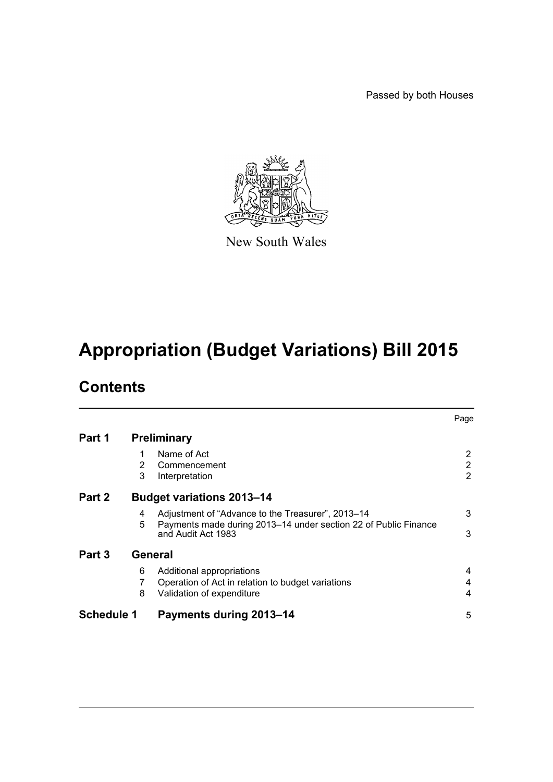Passed by both Houses



New South Wales

# **Appropriation (Budget Variations) Bill 2015**

## **Contents**

|                                            |             |                                                                                                                                            | Page                                               |  |
|--------------------------------------------|-------------|--------------------------------------------------------------------------------------------------------------------------------------------|----------------------------------------------------|--|
| Part 1                                     |             | <b>Preliminary</b>                                                                                                                         |                                                    |  |
|                                            | 1<br>2<br>3 | Name of Act<br>Commencement<br>Interpretation                                                                                              | $\overline{2}$<br>$\overline{2}$<br>$\overline{2}$ |  |
| Part 2<br><b>Budget variations 2013-14</b> |             |                                                                                                                                            |                                                    |  |
|                                            | 4<br>5      | Adjustment of "Advance to the Treasurer", 2013-14<br>Payments made during 2013–14 under section 22 of Public Finance<br>and Audit Act 1983 | 3<br>3                                             |  |
| Part 3<br>General                          |             |                                                                                                                                            |                                                    |  |
|                                            | 6<br>7<br>8 | Additional appropriations<br>Operation of Act in relation to budget variations<br>Validation of expenditure                                | 4<br>4<br>4                                        |  |
| <b>Schedule 1</b>                          |             | <b>Payments during 2013-14</b>                                                                                                             | 5                                                  |  |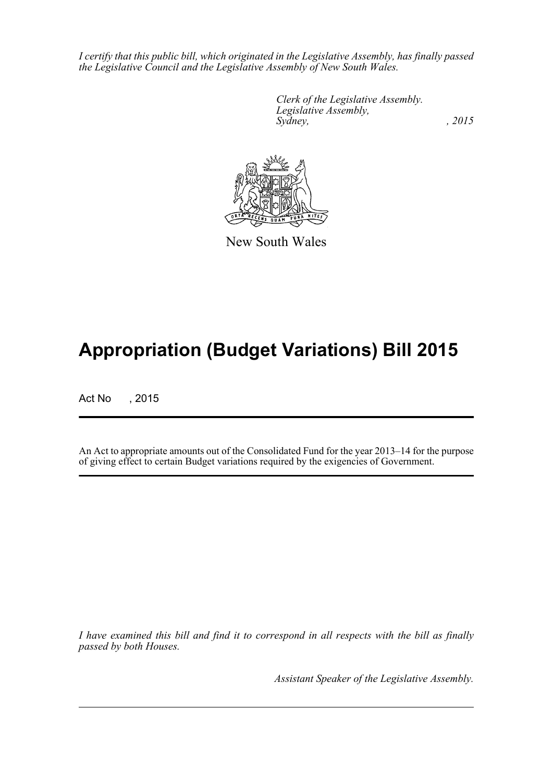*I certify that this public bill, which originated in the Legislative Assembly, has finally passed the Legislative Council and the Legislative Assembly of New South Wales.*

> *Clerk of the Legislative Assembly. Legislative Assembly, Sydney,* , 2015



New South Wales

## **Appropriation (Budget Variations) Bill 2015**

Act No , 2015

An Act to appropriate amounts out of the Consolidated Fund for the year 2013–14 for the purpose of giving effect to certain Budget variations required by the exigencies of Government.

*I have examined this bill and find it to correspond in all respects with the bill as finally passed by both Houses.*

*Assistant Speaker of the Legislative Assembly.*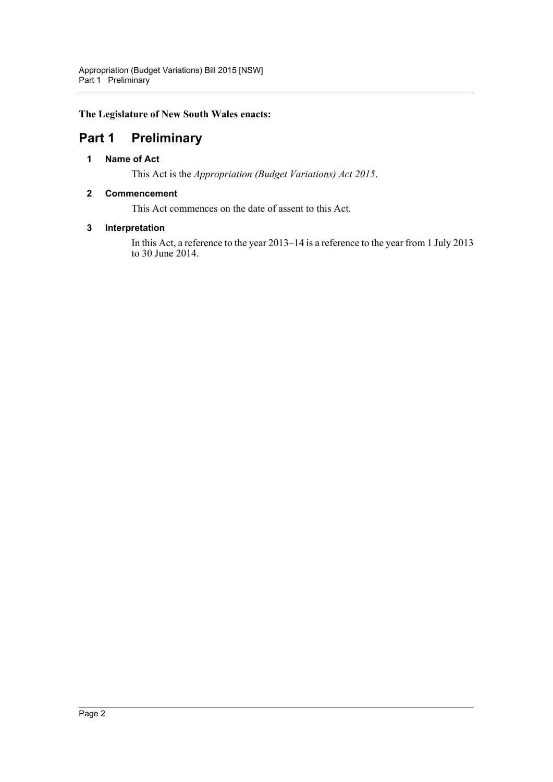**The Legislature of New South Wales enacts:**

## <span id="page-2-1"></span><span id="page-2-0"></span>**Part 1 Preliminary**

#### **1 Name of Act**

This Act is the *Appropriation (Budget Variations) Act 2015*.

#### <span id="page-2-2"></span>**2 Commencement**

This Act commences on the date of assent to this Act.

#### <span id="page-2-3"></span>**3 Interpretation**

In this Act, a reference to the year 2013–14 is a reference to the year from 1 July 2013 to 30 June 2014.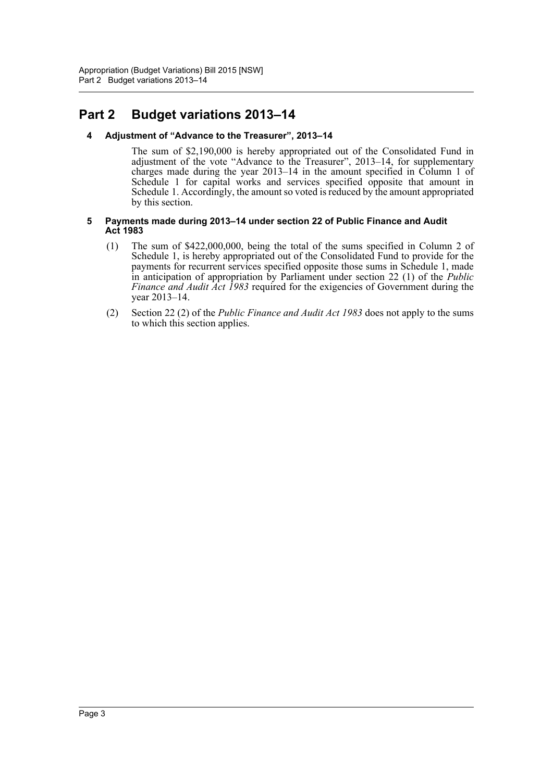## <span id="page-3-1"></span><span id="page-3-0"></span>**Part 2 Budget variations 2013–14**

#### **4 Adjustment of "Advance to the Treasurer", 2013–14**

The sum of \$2,190,000 is hereby appropriated out of the Consolidated Fund in adjustment of the vote "Advance to the Treasurer", 2013–14, for supplementary charges made during the year 2013–14 in the amount specified in Column 1 of Schedule 1 for capital works and services specified opposite that amount in Schedule 1. Accordingly, the amount so voted is reduced by the amount appropriated by this section.

#### <span id="page-3-2"></span>**5 Payments made during 2013–14 under section 22 of Public Finance and Audit Act 1983**

- (1) The sum of \$422,000,000, being the total of the sums specified in Column 2 of Schedule 1, is hereby appropriated out of the Consolidated Fund to provide for the payments for recurrent services specified opposite those sums in Schedule 1, made in anticipation of appropriation by Parliament under section 22 (1) of the *Public Finance and Audit Act 1983* required for the exigencies of Government during the year 2013–14.
- (2) Section 22 (2) of the *Public Finance and Audit Act 1983* does not apply to the sums to which this section applies.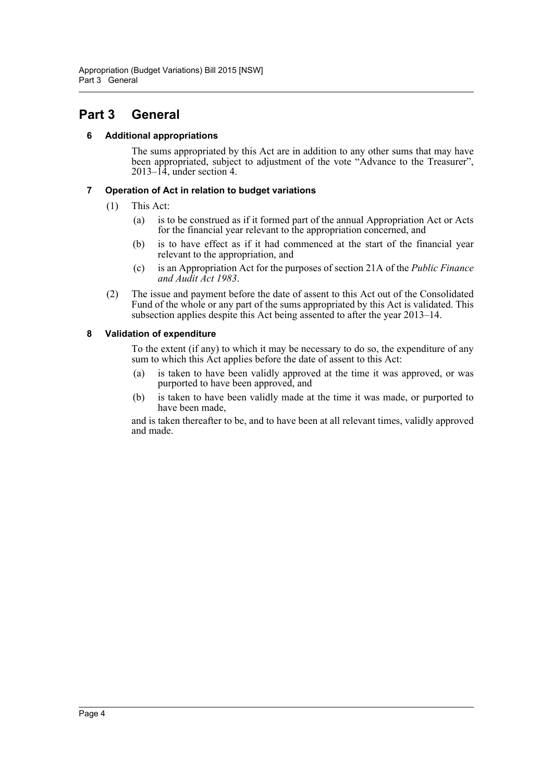### <span id="page-4-1"></span><span id="page-4-0"></span>**Part 3 General**

#### **6 Additional appropriations**

The sums appropriated by this Act are in addition to any other sums that may have been appropriated, subject to adjustment of the vote "Advance to the Treasurer",  $2013-\hat{14}$ , under section 4.

#### <span id="page-4-2"></span>**7 Operation of Act in relation to budget variations**

- (1) This Act:
	- (a) is to be construed as if it formed part of the annual Appropriation Act or Acts for the financial year relevant to the appropriation concerned, and
	- (b) is to have effect as if it had commenced at the start of the financial year relevant to the appropriation, and
	- (c) is an Appropriation Act for the purposes of section 21A of the *Public Finance and Audit Act 1983*.
- (2) The issue and payment before the date of assent to this Act out of the Consolidated Fund of the whole or any part of the sums appropriated by this Act is validated. This subsection applies despite this Act being assented to after the year 2013–14.

#### <span id="page-4-3"></span>**8 Validation of expenditure**

To the extent (if any) to which it may be necessary to do so, the expenditure of any sum to which this Act applies before the date of assent to this Act:

- (a) is taken to have been validly approved at the time it was approved, or was purported to have been approved, and
- (b) is taken to have been validly made at the time it was made, or purported to have been made,

and is taken thereafter to be, and to have been at all relevant times, validly approved and made.